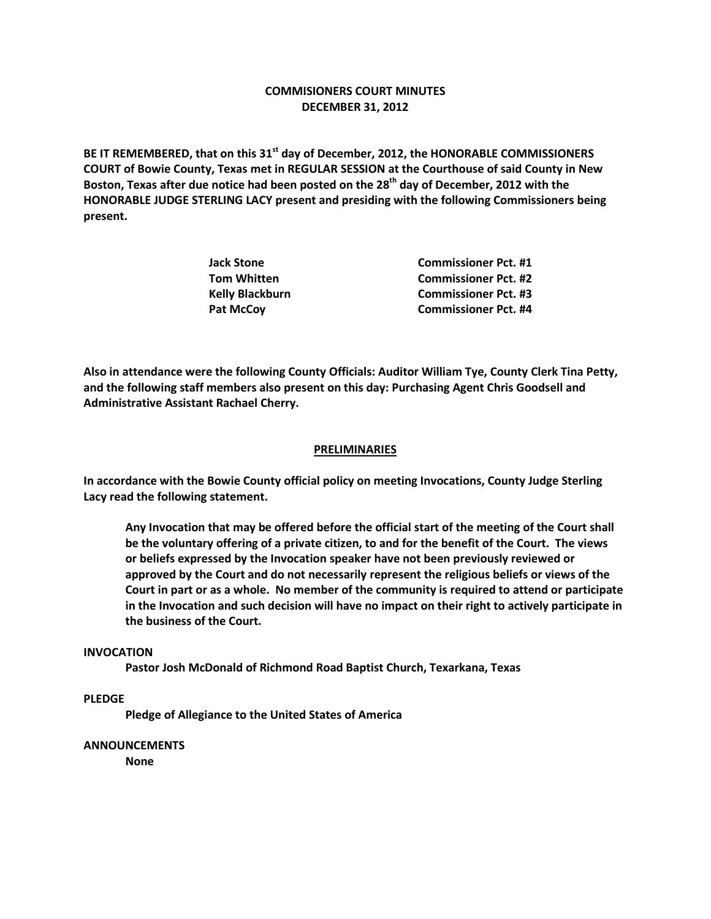# **COMMISIONERS COURT MINUTES DECEMBER 31, 2012**

**BE IT REMEMBERED, that on this 31st day of December, 2012, the HONORABLE COMMISSIONERS COURT of Bowie County, Texas met in REGULAR SESSION at the Courthouse of said County in New Boston, Texas after due notice had been posted on the 28th day of December, 2012 with the HONORABLE JUDGE STERLING LACY present and presiding with the following Commissioners being present.**

| Jack Stone      | <b>Commissioner Pct. #1</b> |
|-----------------|-----------------------------|
| Tom Whitten     | <b>Commissioner Pct. #2</b> |
| Kelly Blackburn | <b>Commissioner Pct. #3</b> |
| Pat McCov       | <b>Commissioner Pct. #4</b> |

**Also in attendance were the following County Officials: Auditor William Tye, County Clerk Tina Petty, and the following staff members also present on this day: Purchasing Agent Chris Goodsell and Administrative Assistant Rachael Cherry.**

### **PRELIMINARIES**

**In accordance with the Bowie County official policy on meeting Invocations, County Judge Sterling Lacy read the following statement.**

**Any Invocation that may be offered before the official start of the meeting of the Court shall be the voluntary offering of a private citizen, to and for the benefit of the Court. The views or beliefs expressed by the Invocation speaker have not been previously reviewed or approved by the Court and do not necessarily represent the religious beliefs or views of the Court in part or as a whole. No member of the community is required to attend or participate in the Invocation and such decision will have no impact on their right to actively participate in the business of the Court.**

### **INVOCATION**

**Pastor Josh McDonald of Richmond Road Baptist Church, Texarkana, Texas**

## **PLEDGE**

**Pledge of Allegiance to the United States of America**

### **ANNOUNCEMENTS**

**None**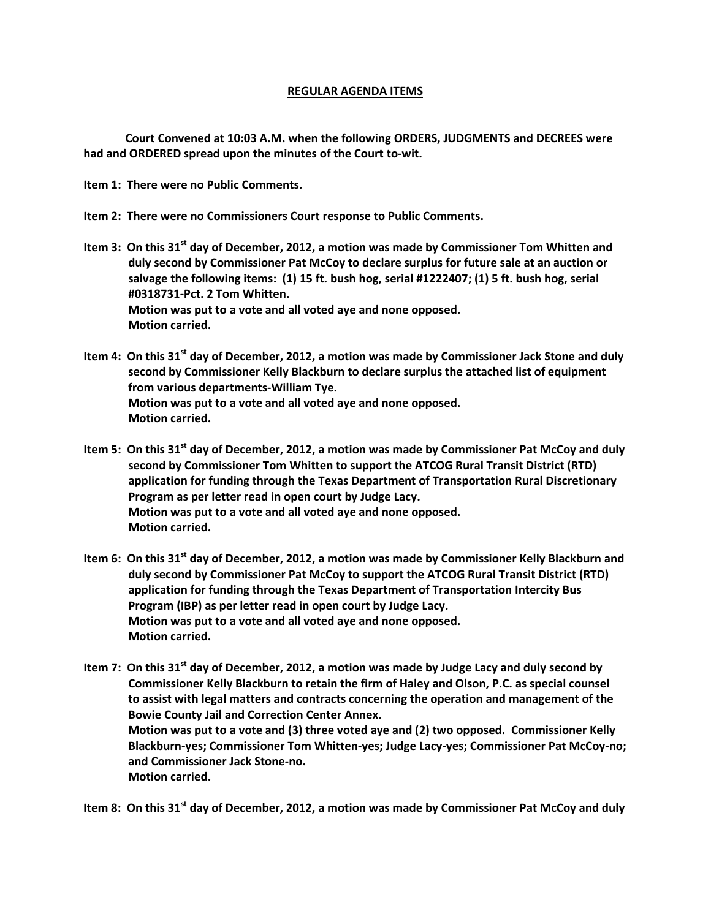# **REGULAR AGENDA ITEMS**

**Court Convened at 10:03 A.M. when the following ORDERS, JUDGMENTS and DECREES were had and ORDERED spread upon the minutes of the Court to-wit.**

**Item 1: There were no Public Comments.**

- **Item 2: There were no Commissioners Court response to Public Comments.**
- **Item 3: On this 31st day of December, 2012, a motion was made by Commissioner Tom Whitten and duly second by Commissioner Pat McCoy to declare surplus for future sale at an auction or salvage the following items: (1) 15 ft. bush hog, serial #1222407; (1) 5 ft. bush hog, serial #0318731-Pct. 2 Tom Whitten. Motion was put to a vote and all voted aye and none opposed. Motion carried.**
- **Item 4: On this 31st day of December, 2012, a motion was made by Commissioner Jack Stone and duly second by Commissioner Kelly Blackburn to declare surplus the attached list of equipment from various departments-William Tye. Motion was put to a vote and all voted aye and none opposed. Motion carried.**
- **Item 5: On this 31st day of December, 2012, a motion was made by Commissioner Pat McCoy and duly second by Commissioner Tom Whitten to support the ATCOG Rural Transit District (RTD) application for funding through the Texas Department of Transportation Rural Discretionary Program as per letter read in open court by Judge Lacy. Motion was put to a vote and all voted aye and none opposed. Motion carried.**
- **Item 6: On this 31st day of December, 2012, a motion was made by Commissioner Kelly Blackburn and duly second by Commissioner Pat McCoy to support the ATCOG Rural Transit District (RTD) application for funding through the Texas Department of Transportation Intercity Bus Program (IBP) as per letter read in open court by Judge Lacy. Motion was put to a vote and all voted aye and none opposed. Motion carried.**
- **Item 7: On this 31st day of December, 2012, a motion was made by Judge Lacy and duly second by Commissioner Kelly Blackburn to retain the firm of Haley and Olson, P.C. as special counsel to assist with legal matters and contracts concerning the operation and management of the Bowie County Jail and Correction Center Annex. Motion was put to a vote and (3) three voted aye and (2) two opposed. Commissioner Kelly Blackburn-yes; Commissioner Tom Whitten-yes; Judge Lacy-yes; Commissioner Pat McCoy-no; and Commissioner Jack Stone-no. Motion carried.**

**Item 8: On this 31st day of December, 2012, a motion was made by Commissioner Pat McCoy and duly**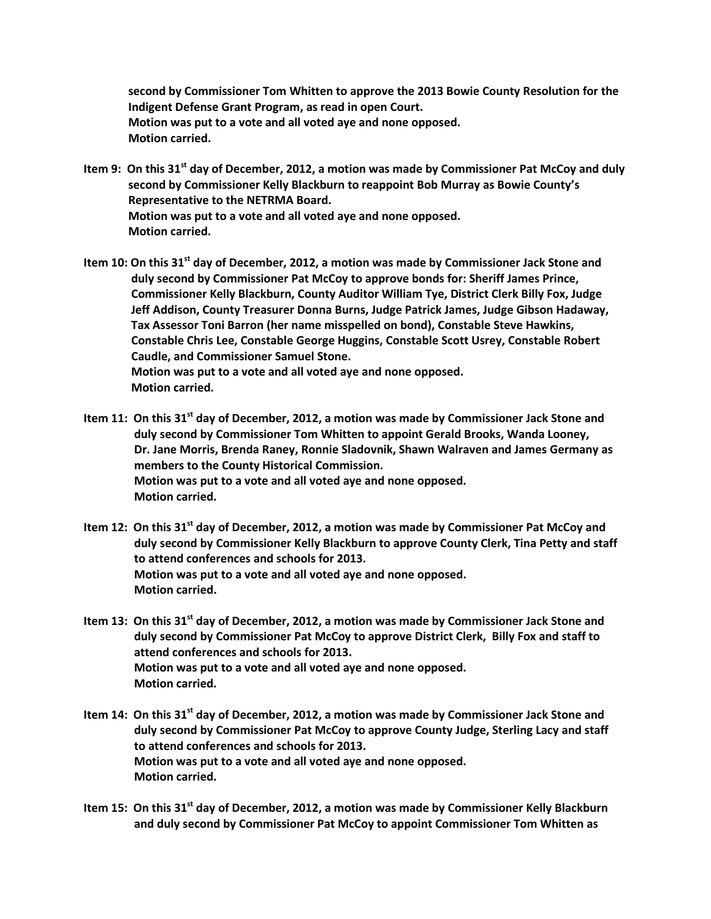**second by Commissioner Tom Whitten to approve the 2013 Bowie County Resolution for the Indigent Defense Grant Program, as read in open Court. Motion was put to a vote and all voted aye and none opposed. Motion carried.**

- **Item 9: On this 31st day of December, 2012, a motion was made by Commissioner Pat McCoy and duly second by Commissioner Kelly Blackburn to reappoint Bob Murray as Bowie County's Representative to the NETRMA Board. Motion was put to a vote and all voted aye and none opposed. Motion carried.**
- **Item 10: On this 31st day of December, 2012, a motion was made by Commissioner Jack Stone and duly second by Commissioner Pat McCoy to approve bonds for: Sheriff James Prince, Commissioner Kelly Blackburn, County Auditor William Tye, District Clerk Billy Fox, Judge Jeff Addison, County Treasurer Donna Burns, Judge Patrick James, Judge Gibson Hadaway, Tax Assessor Toni Barron (her name misspelled on bond), Constable Steve Hawkins, Constable Chris Lee, Constable George Huggins, Constable Scott Usrey, Constable Robert Caudle, and Commissioner Samuel Stone. Motion was put to a vote and all voted aye and none opposed. Motion carried.**
- **Item 11: On this 31st day of December, 2012, a motion was made by Commissioner Jack Stone and duly second by Commissioner Tom Whitten to appoint Gerald Brooks, Wanda Looney, Dr. Jane Morris, Brenda Raney, Ronnie Sladovnik, Shawn Walraven and James Germany as members to the County Historical Commission. Motion was put to a vote and all voted aye and none opposed. Motion carried.**
- **Item 12: On this 31st day of December, 2012, a motion was made by Commissioner Pat McCoy and duly second by Commissioner Kelly Blackburn to approve County Clerk, Tina Petty and staff to attend conferences and schools for 2013. Motion was put to a vote and all voted aye and none opposed. Motion carried.**
- **Item 13: On this 31st day of December, 2012, a motion was made by Commissioner Jack Stone and duly second by Commissioner Pat McCoy to approve District Clerk, Billy Fox and staff to attend conferences and schools for 2013. Motion was put to a vote and all voted aye and none opposed. Motion carried.**
- **Item 14: On this 31st day of December, 2012, a motion was made by Commissioner Jack Stone and duly second by Commissioner Pat McCoy to approve County Judge, Sterling Lacy and staff to attend conferences and schools for 2013. Motion was put to a vote and all voted aye and none opposed. Motion carried.**
- **Item 15: On this 31st day of December, 2012, a motion was made by Commissioner Kelly Blackburn and duly second by Commissioner Pat McCoy to appoint Commissioner Tom Whitten as**